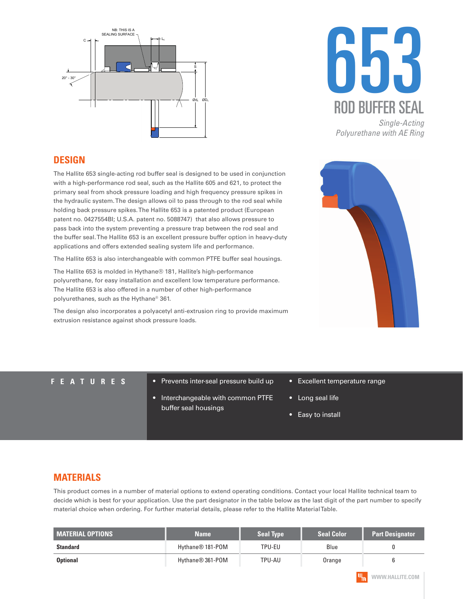



*Polyurethane with AE Ring*

#### **DESIGN**

The Hallite 653 single-acting rod buffer seal is designed to be used in conjunction with a high-performance rod seal, such as the Hallite 605 and 621, to protect the primary seal from shock pressure loading and high frequency pressure spikes in the hydraulic system. The design allows oil to pass through to the rod seal while holding back pressure spikes. The Hallite 653 is a patented product (European patent no. 0427554BI; U.S.A. patent no. 5088747) that also allows pressure to pass back into the system preventing a pressure trap between the rod seal and the buffer seal. The Hallite 653 is an excellent pressure buffer option in heavy-duty applications and offers extended sealing system life and performance.

The Hallite 653 is also interchangeable with common PTFE buffer seal housings.

The Hallite 653 is molded in Hythane® 181, Hallite's high-performance polyurethane, for easy installation and excellent low temperature performance. The Hallite 653 is also offered in a number of other high-performance polyurethanes, such as the Hythane® 361.

The design also incorporates a polyacetyl anti-extrusion ring to provide maximum extrusion resistance against shock pressure loads.



- **FEATURES** Prevents inter-seal pressure build up
	- Interchangeable with common PTFE buffer seal housings
- Excellent temperature range
- Long seal life
- Easy to install

### **MATERIALS**

This product comes in a number of material options to extend operating conditions. Contact your local Hallite technical team to decide which is best for your application. Use the part designator in the table below as the last digit of the part number to specify material choice when ordering. For further material details, please refer to the Hallite Material Table.

| <b>MATERIAL OPTIONS</b><br><b>Name</b> |                              | <b>Seal Type</b> | <b>Seal Color</b> | <b>Part Designator</b> |
|----------------------------------------|------------------------------|------------------|-------------------|------------------------|
| <b>Standard</b>                        | Hythane <sup>®</sup> 181-POM | TPU-EU           | Blue              |                        |
| <b>Optional</b>                        | Hythane® 361-POM             | TPU-AU           | Orange            |                        |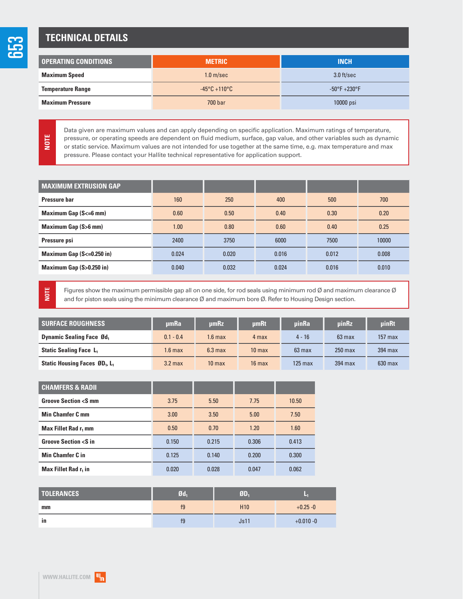# **TECHNICAL DETAILS**

| I OPERATING CONDITIONS   | <b>METRIC</b>                     | <b>INCH</b>                      |  |
|--------------------------|-----------------------------------|----------------------------------|--|
| <b>Maximum Speed</b>     | 1.0 <sub>m/sec</sub>              | $3.0$ ft/sec                     |  |
| <b>Temperature Range</b> | $-45^{\circ}$ C +110 $^{\circ}$ C | $-50^{\circ}$ F $+230^{\circ}$ F |  |
| <b>Maximum Pressure</b>  | 700 bar                           | 10000 psi                        |  |

Data given are maximum values and can apply depending on specific application. Maximum ratings of temperature, pressure, or operating speeds are dependent on fluid medium, surface, gap value, and other variables such as dynamic or static service. Maximum values are not intended for use together at the same time, e.g. max temperature and max pressure. Please contact your Hallite technical representative for application support.

| <b>MAXIMUM EXTRUSION GAP</b>    |       |       |       |       |       |
|---------------------------------|-------|-------|-------|-------|-------|
| Pressure bar                    | 160   | 250   | 400   | 500   | 700   |
| <b>Maximum Gap (S&lt;=6 mm)</b> | 0.60  | 0.50  | 0.40  | 0.30  | 0.20  |
| <b>Maximum Gap (S&gt;6 mm)</b>  | 1.00  | 0.80  | 0.60  | 0.40  | 0.25  |
| Pressure psi                    | 2400  | 3750  | 6000  | 7500  | 10000 |
| Maximum Gap $(S \le 0.250$ in)  | 0.024 | 0.020 | 0.016 | 0.012 | 0.008 |
| Maximum Gap (S>0.250 in)        | 0.040 | 0.032 | 0.024 | 0.016 | 0.010 |

**NOTE**

**NOTE**

Figures show the maximum permissible gap all on one side, for rod seals using minimum rod Ø and maximum clearance Ø and for piston seals using the minimum clearance  $\emptyset$  and maximum bore  $\emptyset$ . Refer to Housing Design section.

| <b>SURFACE ROUGHNESS</b>                              | umRa               | umRz               | umRt              | uinRa             | <b>uinRz</b>     | uinRt             |
|-------------------------------------------------------|--------------------|--------------------|-------------------|-------------------|------------------|-------------------|
| <b>Dynamic Sealing Face Ød</b> ,                      | $0.1 - 0.4$        | 1.6 <sub>max</sub> | 4 max             | $4 - 16$          | $63 \text{ max}$ | $157 \text{ max}$ |
| <b>Static Sealing Face L</b>                          | 1.6 max            | $6.3 \text{ max}$  | 10 <sub>max</sub> | $63$ max          | $250$ max        | $394$ max         |
| Static Housing Faces ØD <sub>1</sub> , L <sub>1</sub> | 3.2 <sub>max</sub> | 10 <sub>max</sub>  | $16$ max          | $125 \text{ max}$ | 394 max          | $630$ max         |

| <b>CHAMFERS &amp; RADII</b>               |       |       |       |       |
|-------------------------------------------|-------|-------|-------|-------|
| <b>Groove Section <s b="" mm<=""></s></b> | 3.75  | 5.50  | 7.75  | 10.50 |
| <b>Min Chamfer C mm</b>                   | 3.00  | 3.50  | 5.00  | 7.50  |
| Max Fillet Rad r <sub>1</sub> mm          | 0.50  | 0.70  | 1.20  | 1.60  |
| <b>Groove Section <s b="" in<=""></s></b> | 0.150 | 0.215 | 0.306 | 0.413 |
| <b>Min Chamfer C in</b>                   | 0.125 | 0.140 | 0.200 | 0.300 |
| Max Fillet Rad r <sub>1</sub> in          | 0.020 | 0.028 | 0.047 | 0.062 |

| <b>TOLERANCES</b> | 9d <sub>1</sub> | ØD.             | ×            |  |
|-------------------|-----------------|-----------------|--------------|--|
| mm                | f <sub>9</sub>  | H <sub>10</sub> | $+0.25 - 0$  |  |
| in                | f9              | Js11            | $+0.010 - 0$ |  |